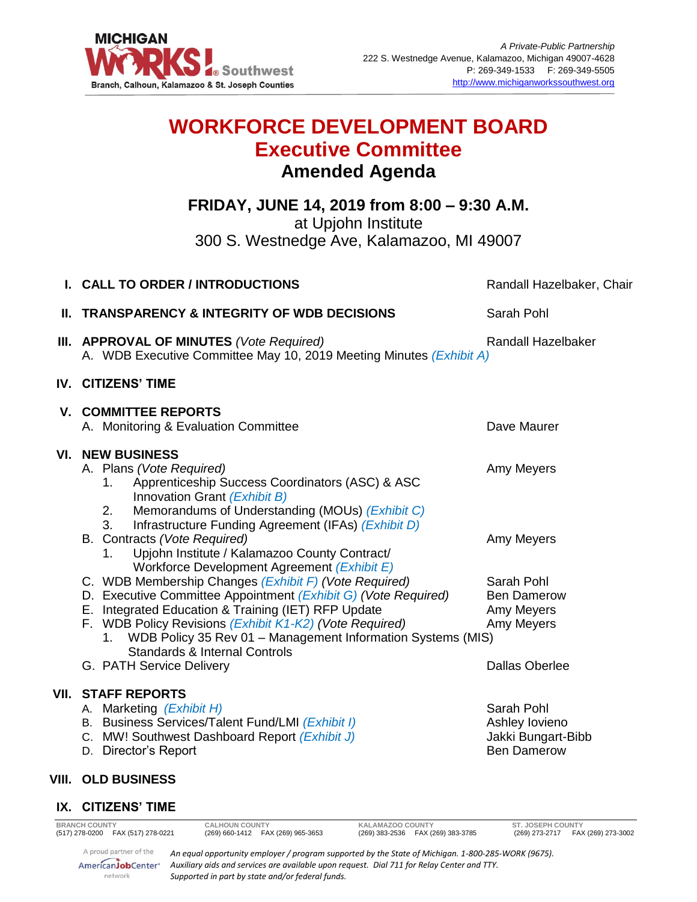

# **WORKFORCE DEVELOPMENT BOARD Executive Committee Amended Agenda**

**FRIDAY, JUNE 14, 2019 from 8:00 – 9:30 A.M.**

at Upjohn Institute

300 S. Westnedge Ave, Kalamazoo, MI 49007

|                                                                                                                                                                                                                                                                                                                                                                                                                                                                                                                                                                                                                                                                                                                                          | Sarah Pohl                                                                                                                                                                                                                                                                                                                                |
|------------------------------------------------------------------------------------------------------------------------------------------------------------------------------------------------------------------------------------------------------------------------------------------------------------------------------------------------------------------------------------------------------------------------------------------------------------------------------------------------------------------------------------------------------------------------------------------------------------------------------------------------------------------------------------------------------------------------------------------|-------------------------------------------------------------------------------------------------------------------------------------------------------------------------------------------------------------------------------------------------------------------------------------------------------------------------------------------|
| A. WDB Executive Committee May 10, 2019 Meeting Minutes (Exhibit A)                                                                                                                                                                                                                                                                                                                                                                                                                                                                                                                                                                                                                                                                      | <b>Randall Hazelbaker</b>                                                                                                                                                                                                                                                                                                                 |
|                                                                                                                                                                                                                                                                                                                                                                                                                                                                                                                                                                                                                                                                                                                                          |                                                                                                                                                                                                                                                                                                                                           |
| A. Monitoring & Evaluation Committee                                                                                                                                                                                                                                                                                                                                                                                                                                                                                                                                                                                                                                                                                                     | Dave Maurer                                                                                                                                                                                                                                                                                                                               |
| A. Plans (Vote Required)<br>Apprenticeship Success Coordinators (ASC) & ASC<br>1.<br>Innovation Grant (Exhibit B)<br>Memorandums of Understanding (MOUs) (Exhibit C)<br>2.<br>Infrastructure Funding Agreement (IFAs) (Exhibit D)<br>3.<br>B. Contracts (Vote Required)<br>Upjohn Institute / Kalamazoo County Contract/<br>1.<br>Workforce Development Agreement (Exhibit E)<br>C. WDB Membership Changes (Exhibit F) (Vote Required)<br>D. Executive Committee Appointment (Exhibit G) (Vote Required)<br>E. Integrated Education & Training (IET) RFP Update<br>F. WDB Policy Revisions (Exhibit K1-K2) (Vote Required)<br>1. WDB Policy 35 Rev 01 - Management Information Systems (MIS)<br><b>Standards &amp; Internal Controls</b> | Amy Meyers<br>Amy Meyers<br>Sarah Pohl<br><b>Ben Damerow</b><br>Amy Meyers<br>Amy Meyers                                                                                                                                                                                                                                                  |
| A. Marketing (Exhibit H)                                                                                                                                                                                                                                                                                                                                                                                                                                                                                                                                                                                                                                                                                                                 | <b>Dallas Oberlee</b><br>Sarah Pohl                                                                                                                                                                                                                                                                                                       |
| C. MW! Southwest Dashboard Report (Exhibit J)<br>D. Director's Report                                                                                                                                                                                                                                                                                                                                                                                                                                                                                                                                                                                                                                                                    | Ashley lovieno<br>Jakki Bungart-Bibb<br><b>Ben Damerow</b>                                                                                                                                                                                                                                                                                |
|                                                                                                                                                                                                                                                                                                                                                                                                                                                                                                                                                                                                                                                                                                                                          |                                                                                                                                                                                                                                                                                                                                           |
|                                                                                                                                                                                                                                                                                                                                                                                                                                                                                                                                                                                                                                                                                                                                          |                                                                                                                                                                                                                                                                                                                                           |
|                                                                                                                                                                                                                                                                                                                                                                                                                                                                                                                                                                                                                                                                                                                                          | <b>TRANSPARENCY &amp; INTEGRITY OF WDB DECISIONS</b><br>III. APPROVAL OF MINUTES (Vote Required)<br>IV. CITIZENS' TIME<br><b>V. COMMITTEE REPORTS</b><br><b>VI. NEW BUSINESS</b><br>G. PATH Service Delivery<br><b>VII. STAFF REPORTS</b><br>B. Business Services/Talent Fund/LMI (Exhibit I)<br>VIII. OLD BUSINESS<br>IX. CITIZENS' TIME |

**BRANCH COUNTY CALHOUN COUNTY KALAMAZOO COUNTY ST. JOSEPH COUNTY**

A proud partner of the AmericanJobCenter\* network

*An equal opportunity employer / program supported by the State of Michigan. 1-800-285-WORK (9675). Auxiliary aids and services are available upon request. Dial 711 for Relay Center and TTY. Supported in part by state and/or federal funds.*